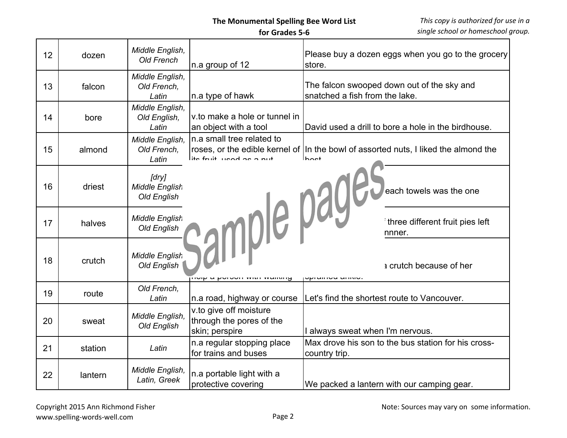## **The Monumental Spelling Bee Word List**

 **for Grades 5-6**

| 12 | dozen   | Middle English,<br><b>Old French</b>          | n.a group of 12                                                      | Please buy a dozen eggs when you go to the grocery<br>store.                          |
|----|---------|-----------------------------------------------|----------------------------------------------------------------------|---------------------------------------------------------------------------------------|
| 13 | falcon  | Middle English,<br>Old French.<br>Latin       | n.a type of hawk                                                     | The falcon swooped down out of the sky and<br>snatched a fish from the lake.          |
| 14 | bore    | Middle English,<br>Old English,<br>Latin      | v.to make a hole or tunnel in<br>an object with a tool               | David used a drill to bore a hole in the birdhouse.                                   |
| 15 | almond  | Middle English,<br>Old French,<br>Latin       | n.a small tree related to                                            | roses, or the edible kernel of   In the bowl of assorted nuts, I liked the almond the |
| 16 | driest  | [dry]<br><b>Middle English</b><br>Old English |                                                                      | <b>Sample page of the alm</b>                                                         |
| 17 | halves  | <b>Middle English</b><br>Old English          |                                                                      | three different fruit pies left                                                       |
| 18 | crutch  | <b>Middle English</b><br>Old English          | וועון ע דערוווער ווער אין אויירו                                     | a crutch because of her<br><b>UPTAILIOU MITHIV</b>                                    |
| 19 | route   | Old French,<br>Latin                          | n.a road, highway or course                                          | Let's find the shortest route to Vancouver.                                           |
| 20 | sweat   | Middle English,<br>Old English                | v to give off moisture<br>through the pores of the<br>skin; perspire | I always sweat when I'm nervous.                                                      |
| 21 | station | Latin                                         | n.a regular stopping place<br>for trains and buses                   | Max drove his son to the bus station for his cross-<br>country trip.                  |
| 22 | lantern | Middle English,<br>Latin, Greek               | n.a portable light with a<br>protective covering                     | We packed a lantern with our camping gear.                                            |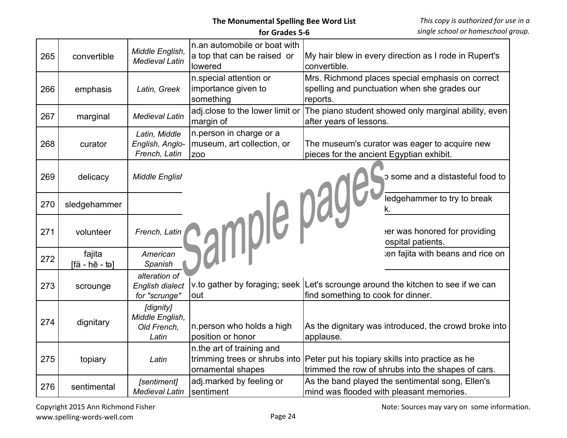| 265 | convertible              | Middle English,<br><b>Medieval Latin</b>             | n.an automobile or boat with<br>a top that can be raised or<br>lowered   | My hair blew in every direction as I rode in Rupert's<br>convertible.                                                                |
|-----|--------------------------|------------------------------------------------------|--------------------------------------------------------------------------|--------------------------------------------------------------------------------------------------------------------------------------|
| 266 | emphasis                 | Latin, Greek                                         | n special attention or<br>importance given to<br>something               | Mrs. Richmond places special emphasis on correct<br>spelling and punctuation when she grades our<br>reports.                         |
| 267 | marginal                 | <b>Medieval Latin</b>                                | adj.close to the lower limit or<br>margin of                             | The piano student showed only marginal ability, even<br>after years of lessons.                                                      |
| 268 | curator                  | Latin, Middle<br>English, Anglo-<br>French, Latin    | n.person in charge or a<br>museum, art collection, or<br>Z <sub>OO</sub> | The museum's curator was eager to acquire new<br>pieces for the ancient Egyptian exhibit.                                            |
| 269 | delicacy                 | <b>Middle English</b>                                | sample page.                                                             | p some and a distasteful food to                                                                                                     |
| 270 | sledgehammer             |                                                      |                                                                          | ledgehammer to try to break<br>k.                                                                                                    |
| 271 | volunteer                | French, Latin                                        |                                                                          | er was honored for providing<br>ospital patients.                                                                                    |
| 272 | fajita<br>[fä - hē - tə] | American<br>Spanish                                  |                                                                          | ten fajita with beans and rice on                                                                                                    |
| 273 | scrounge                 | alteration of<br>English dialect<br>for "scrunge"    | out                                                                      | v.to gather by foraging; seek Let's scrounge around the kitchen to see if we can<br>find something to cook for dinner.               |
| 274 | dignitary                | [dignity]<br>Middle English,<br>Old French,<br>Latin | n.person who holds a high<br>position or honor                           | As the dignitary was introduced, the crowd broke into<br>applause.                                                                   |
| 275 | topiary                  | Latin                                                | n.the art of training and<br>ornamental shapes                           | trimming trees or shrubs into Peter put his topiary skills into practice as he<br>trimmed the row of shrubs into the shapes of cars. |
| 276 | sentimental              | [sentiment]<br><b>Medieval Latin</b>                 | adj.marked by feeling or<br>sentiment                                    | As the band played the sentimental song, Ellen's<br>mind was flooded with pleasant memories.                                         |